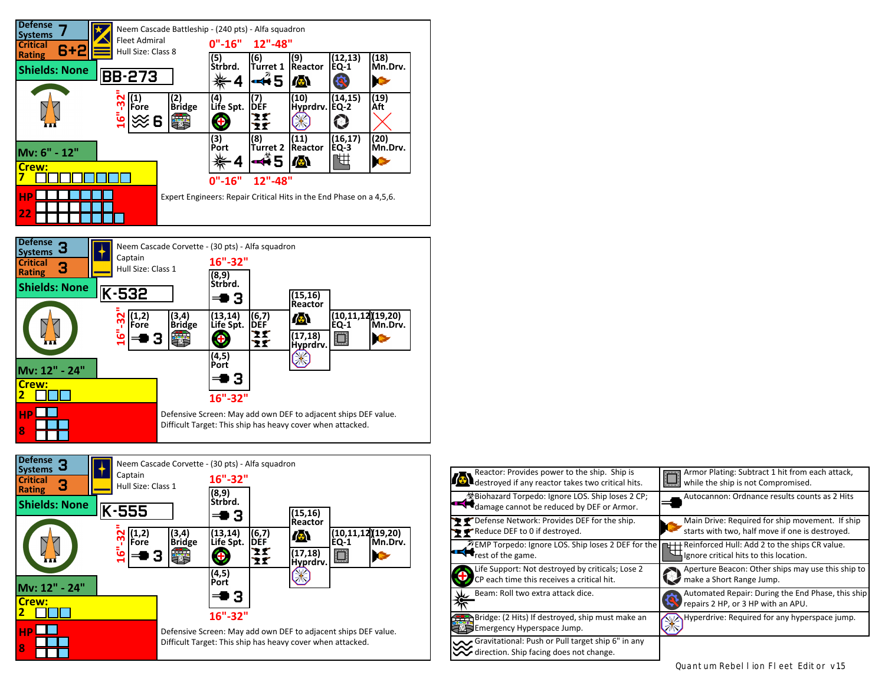





| <b>Analy Reactor:</b> Provides power to the ship. Ship is<br><b>A</b> destroyed if any reactor takes two critical hits.               | Armor Plating: Subtract 1 hit from each attack,<br>while the ship is not Compromised.              |
|---------------------------------------------------------------------------------------------------------------------------------------|----------------------------------------------------------------------------------------------------|
| Biohazard Torpedo: Ignore LOS. Ship loses 2 CP;<br>$\blacksquare$<br>damage cannot be reduced by DEF or Armor.                        | Autocannon: Ordnance results counts as 2 Hits                                                      |
| P P Defense Network: Provides DEF for the ship.<br>Reduce DEF to 0 if destroyed.                                                      | Main Drive: Required for ship movement. If ship<br>starts with two, half move if one is destroved. |
| <b>MEMP</b> Torpedo: Ignore LOS. Ship loses 2 DEF for the $\Box$ + Reinforced Hull: Add 2 to the ships CR value.<br>rest of the game. | Ignore critical hits to this location.                                                             |
| Life Support: Not destroyed by criticals; Lose 2<br>CP each time this receives a critical hit.                                        | Aperture Beacon: Other ships may use this ship to<br>make a Short Range Jump.                      |
| Beam: Roll two extra attack dice.                                                                                                     | Automated Repair: During the End Phase, this ship<br>repairs 2 HP, or 3 HP with an APU.            |
| Bridge: (2 Hits) If destroyed, ship must make an<br>Emergency Hyperspace Jump.                                                        | Hyperdrive: Required for any hyperspace jump.                                                      |
| Gravitational: Push or Pull target ship 6" in any<br>direction. Ship facing does not change.                                          |                                                                                                    |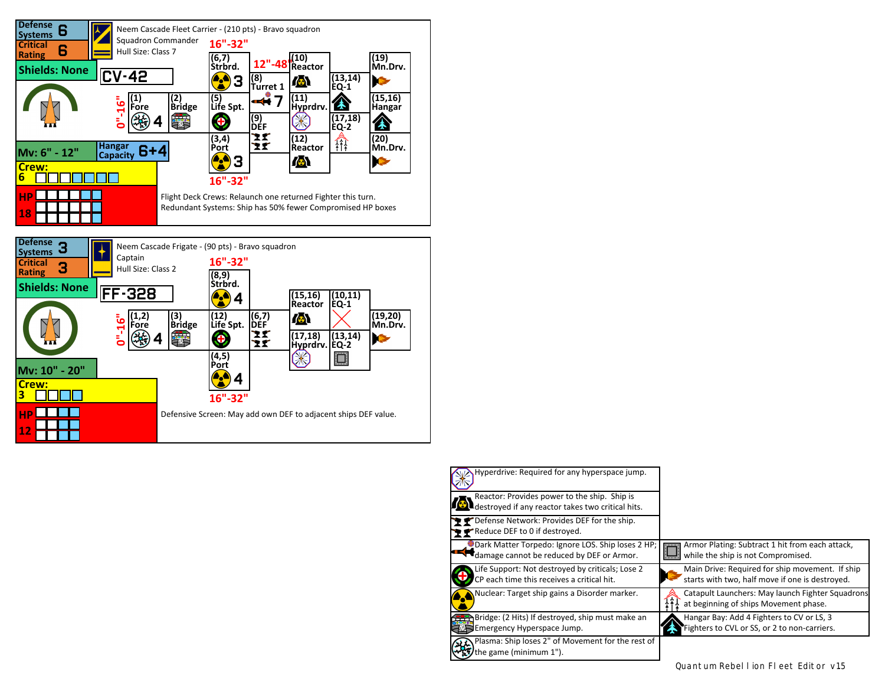

| Hyperdrive: Required for any hyperspace jump.                                                                    |                                                                                                    |
|------------------------------------------------------------------------------------------------------------------|----------------------------------------------------------------------------------------------------|
| Reactor: Provides power to the ship. Ship is<br>$\blacksquare$ destroyed if any reactor takes two critical hits. |                                                                                                    |
| P Defense Network: Provides DEF for the ship.<br>Reduce DEF to 0 if destroyed.                                   |                                                                                                    |
| Dark Matter Torpedo: Ignore LOS. Ship loses 2 HP;<br>damage cannot be reduced by DEF or Armor.                   | Armor Plating: Subtract 1 hit from each attack,<br>while the ship is not Compromised.              |
| Life Support: Not destroyed by criticals; Lose 2<br>CP each time this receives a critical hit.                   | Main Drive: Required for ship movement. If ship<br>starts with two, half move if one is destroyed. |
| Nuclear: Target ship gains a Disorder marker.                                                                    | Catapult Launchers: May launch Fighter Squadrons<br>at beginning of ships Movement phase.          |
| <b>BEP</b> Bridge: (2 Hits) If destroyed, ship must make an<br>Emergency Hyperspace Jump.                        | Hangar Bay: Add 4 Fighters to CV or LS, 3<br>Fighters to CVL or SS, or 2 to non-carriers.          |
| Plasma: Ship loses 2" of Movement for the rest of<br>the game (minimum 1").                                      |                                                                                                    |

Quantum Rebel I ion FI eet Editor v1.5